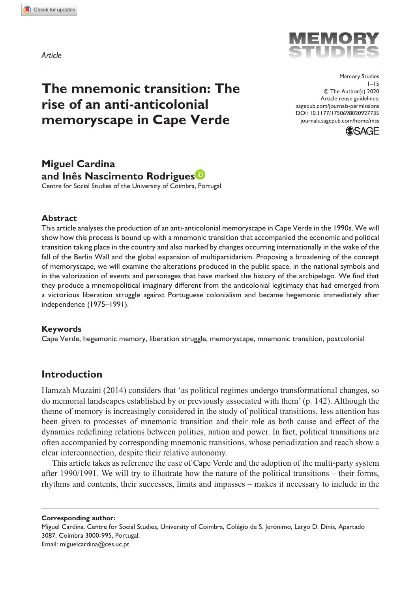*Article*



# **The mnemonic transition: The rise of an anti-anticolonial memoryscape in Cape Verde**

DOI: 10.1177/1750698020927735 Memory Studies 1–15 © The Author(s) 2020 Article reuse guidelines: [sagepub.com/journals-permissions](https://uk.sagepub.com/en-gb/journals-permissions) [journals.sagepub.com/home/mss](https://journals.sagepub.com/home/mss)



## **Miguel Cardina and Inês Nascimento Rodrigues**

Centre for Social Studies of the University of Coimbra, Portugal

### **Abstract**

This article analyses the production of an anti-anticolonial memoryscape in Cape Verde in the 1990s. We will show how this process is bound up with a mnemonic transition that accompanied the economic and political transition taking place in the country and also marked by changes occurring internationally in the wake of the fall of the Berlin Wall and the global expansion of multipartidarism. Proposing a broadening of the concept of memoryscape, we will examine the alterations produced in the public space, in the national symbols and in the valorization of events and personages that have marked the history of the archipelago. We find that they produce a mnemopolitical imaginary different from the anticolonial legitimacy that had emerged from a victorious liberation struggle against Portuguese colonialism and became hegemonic immediately after independence (1975–1991).

## **Keywords**

Cape Verde, hegemonic memory, liberation struggle, memoryscape, mnemonic transition, postcolonial

## **Introduction**

Hamzah Muzaini (2014) considers that 'as political regimes undergo transformational changes, so do memorial landscapes established by or previously associated with them' (p. 142). Although the theme of memory is increasingly considered in the study of political transitions, less attention has been given to processes of mnemonic transition and their role as both cause and effect of the dynamics redefining relations between politics, nation and power. In fact, political transitions are often accompanied by corresponding mnemonic transitions, whose periodization and reach show a clear interconnection, despite their relative autonomy.

This article takes as reference the case of Cape Verde and the adoption of the multi-party system after 1990/1991. We will try to illustrate how the nature of the political transitions – their forms, rhythms and contents, their successes, limits and impasses – makes it necessary to include in the

**Corresponding author:** Miguel Cardina, Centre for Social Studies, University of Coimbra, Colégio de S. Jerónimo, Largo D. Dinis, Apartado

3087, Coimbra 3000-995, Portugal.

Email: [miguelcardina@ces.uc.pt](mailto:miguelcardina@ces.uc.pt)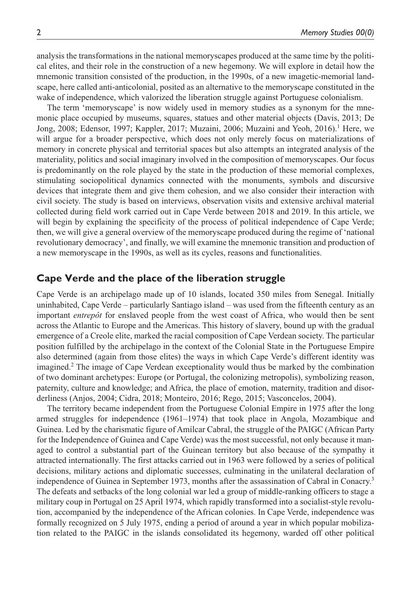analysis the transformations in the national memoryscapes produced at the same time by the political elites, and their role in the construction of a new hegemony. We will explore in detail how the mnemonic transition consisted of the production, in the 1990s, of a new imagetic-memorial landscape, here called anti-anticolonial, posited as an alternative to the memoryscape constituted in the wake of independence, which valorized the liberation struggle against Portuguese colonialism.

The term 'memoryscape' is now widely used in memory studies as a synonym for the mnemonic place occupied by museums, squares, statues and other material objects (Davis, 2013; De Jong, 2008; Edensor, 1997; Kappler, 2017; Muzaini, 2006; Muzaini and Yeoh, 2016).<sup>1</sup> Here, we will argue for a broader perspective, which does not only merely focus on materializations of memory in concrete physical and territorial spaces but also attempts an integrated analysis of the materiality, politics and social imaginary involved in the composition of memoryscapes. Our focus is predominantly on the role played by the state in the production of these memorial complexes, stimulating sociopolitical dynamics connected with the monuments, symbols and discursive devices that integrate them and give them cohesion, and we also consider their interaction with civil society. The study is based on interviews, observation visits and extensive archival material collected during field work carried out in Cape Verde between 2018 and 2019. In this article, we will begin by explaining the specificity of the process of political independence of Cape Verde; then, we will give a general overview of the memoryscape produced during the regime of 'national revolutionary democracy', and finally, we will examine the mnemonic transition and production of a new memoryscape in the 1990s, as well as its cycles, reasons and functionalities.

## **Cape Verde and the place of the liberation struggle**

Cape Verde is an archipelago made up of 10 islands, located 350 miles from Senegal. Initially uninhabited, Cape Verde – particularly Santiago island – was used from the fifteenth century as an important *entrepôt* for enslaved people from the west coast of Africa, who would then be sent across the Atlantic to Europe and the Americas. This history of slavery, bound up with the gradual emergence of a Creole elite, marked the racial composition of Cape Verdean society. The particular position fulfilled by the archipelago in the context of the Colonial State in the Portuguese Empire also determined (again from those elites) the ways in which Cape Verde's different identity was imagined.2 The image of Cape Verdean exceptionality would thus be marked by the combination of two dominant archetypes: Europe (or Portugal, the colonizing metropolis), symbolizing reason, paternity, culture and knowledge; and Africa, the place of emotion, maternity, tradition and disorderliness (Anjos, 2004; Cidra, 2018; Monteiro, 2016; Rego, 2015; Vasconcelos, 2004).

The territory became independent from the Portuguese Colonial Empire in 1975 after the long armed struggles for independence (1961–1974) that took place in Angola, Mozambique and Guinea. Led by the charismatic figure of Amílcar Cabral, the struggle of the PAIGC (African Party for the Independence of Guinea and Cape Verde) was the most successful, not only because it managed to control a substantial part of the Guinean territory but also because of the sympathy it attracted internationally. The first attacks carried out in 1963 were followed by a series of political decisions, military actions and diplomatic successes, culminating in the unilateral declaration of independence of Guinea in September 1973, months after the assassination of Cabral in Conacry.<sup>3</sup> The defeats and setbacks of the long colonial war led a group of middle-ranking officers to stage a military coup in Portugal on 25 April 1974, which rapidly transformed into a socialist-style revolution, accompanied by the independence of the African colonies. In Cape Verde, independence was formally recognized on 5 July 1975, ending a period of around a year in which popular mobilization related to the PAIGC in the islands consolidated its hegemony, warded off other political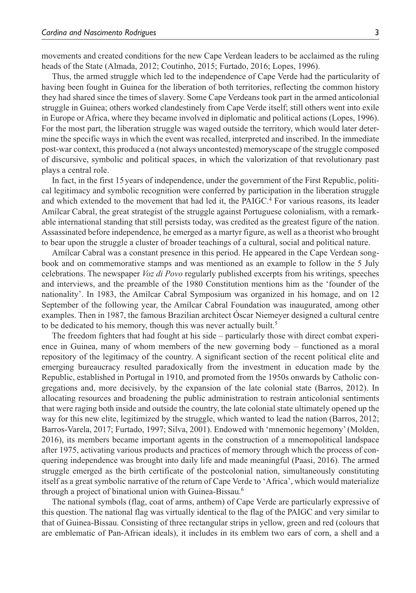movements and created conditions for the new Cape Verdean leaders to be acclaimed as the ruling heads of the State (Almada, 2012; Coutinho, 2015; Furtado, 2016; Lopes, 1996).

Thus, the armed struggle which led to the independence of Cape Verde had the particularity of having been fought in Guinea for the liberation of both territories, reflecting the common history they had shared since the times of slavery. Some Cape Verdeans took part in the armed anticolonial struggle in Guinea; others worked clandestinely from Cape Verde itself; still others went into exile in Europe or Africa, where they became involved in diplomatic and political actions (Lopes, 1996). For the most part, the liberation struggle was waged outside the territory, which would later determine the specific ways in which the event was recalled, interpreted and inscribed. In the immediate post-war context, this produced a (not always uncontested) memoryscape of the struggle composed of discursive, symbolic and political spaces, in which the valorization of that revolutionary past plays a central role.

In fact, in the first 15 years of independence, under the government of the First Republic, political legitimacy and symbolic recognition were conferred by participation in the liberation struggle and which extended to the movement that had led it, the PAIGC.<sup>4</sup> For various reasons, its leader Amílcar Cabral, the great strategist of the struggle against Portuguese colonialism, with a remarkable international standing that still persists today, was credited as the greatest figure of the nation. Assassinated before independence, he emerged as a martyr figure, as well as a theorist who brought to bear upon the struggle a cluster of broader teachings of a cultural, social and political nature.

Amílcar Cabral was a constant presence in this period. He appeared in the Cape Verdean songbook and on commemorative stamps and was mentioned as an example to follow in the 5 July celebrations. The newspaper *Voz di Povo* regularly published excerpts from his writings, speeches and interviews, and the preamble of the 1980 Constitution mentions him as the 'founder of the nationality'. In 1983, the Amílcar Cabral Symposium was organized in his homage, and on 12 September of the following year, the Amílcar Cabral Foundation was inaugurated, among other examples. Then in 1987, the famous Brazilian architect Óscar Niemeyer designed a cultural centre to be dedicated to his memory, though this was never actually built.<sup>5</sup>

The freedom fighters that had fought at his side – particularly those with direct combat experience in Guinea, many of whom members of the new governing body – functioned as a moral repository of the legitimacy of the country. A significant section of the recent political elite and emerging bureaucracy resulted paradoxically from the investment in education made by the Republic, established in Portugal in 1910, and promoted from the 1950s onwards by Catholic congregations and, more decisively, by the expansion of the late colonial state (Barros, 2012). In allocating resources and broadening the public administration to restrain anticolonial sentiments that were raging both inside and outside the country, the late colonial state ultimately opened up the way for this new elite, legitimized by the struggle, which wanted to lead the nation (Barros, 2012; Barros-Varela, 2017; Furtado, 1997; Silva, 2001). Endowed with 'mnemonic hegemony' (Molden, 2016), its members became important agents in the construction of a mnemopolitical landspace after 1975, activating various products and practices of memory through which the process of conquering independence was brought into daily life and made meaningful (Paasi, 2016). The armed struggle emerged as the birth certificate of the postcolonial nation, simultaneously constituting itself as a great symbolic narrative of the return of Cape Verde to 'Africa', which would materialize through a project of binational union with Guinea-Bissau.6

The national symbols (flag, coat of arms, anthem) of Cape Verde are particularly expressive of this question. The national flag was virtually identical to the flag of the PAIGC and very similar to that of Guinea-Bissau. Consisting of three rectangular strips in yellow, green and red (colours that are emblematic of Pan-African ideals), it includes in its emblem two ears of corn, a shell and a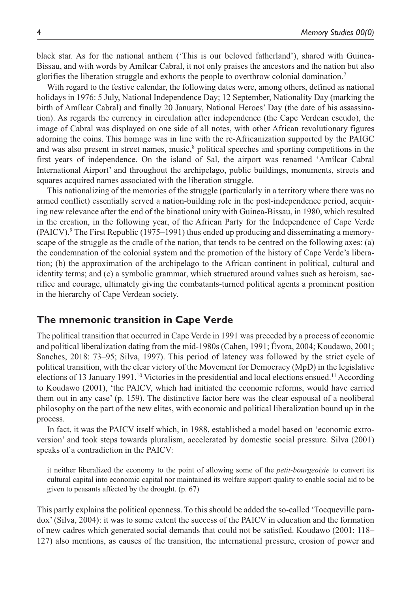black star. As for the national anthem ('This is our beloved fatherland'), shared with Guinea-Bissau, and with words by Amílcar Cabral, it not only praises the ancestors and the nation but also glorifies the liberation struggle and exhorts the people to overthrow colonial domination.7

With regard to the festive calendar, the following dates were, among others, defined as national holidays in 1976: 5 July, National Independence Day; 12 September, Nationality Day (marking the birth of Amílcar Cabral) and finally 20 January, National Heroes' Day (the date of his assassination). As regards the currency in circulation after independence (the Cape Verdean escudo), the image of Cabral was displayed on one side of all notes, with other African revolutionary figures adorning the coins. This homage was in line with the re-Africanization supported by the PAIGC and was also present in street names, music,<sup>8</sup> political speeches and sporting competitions in the first years of independence. On the island of Sal, the airport was renamed 'Amílcar Cabral International Airport' and throughout the archipelago, public buildings, monuments, streets and squares acquired names associated with the liberation struggle.

This nationalizing of the memories of the struggle (particularly in a territory where there was no armed conflict) essentially served a nation-building role in the post-independence period, acquiring new relevance after the end of the binational unity with Guinea-Bissau, in 1980, which resulted in the creation, in the following year, of the African Party for the Independence of Cape Verde (PAICV).<sup>9</sup> The First Republic (1975–1991) thus ended up producing and disseminating a memoryscape of the struggle as the cradle of the nation, that tends to be centred on the following axes: (a) the condemnation of the colonial system and the promotion of the history of Cape Verde's liberation; (b) the approximation of the archipelago to the African continent in political, cultural and identity terms; and (c) a symbolic grammar, which structured around values such as heroism, sacrifice and courage, ultimately giving the combatants-turned political agents a prominent position in the hierarchy of Cape Verdean society.

## **The mnemonic transition in Cape Verde**

The political transition that occurred in Cape Verde in 1991 was preceded by a process of economic and political liberalization dating from the mid-1980s (Cahen, 1991; Évora, 2004; Koudawo, 2001; Sanches, 2018: 73–95; Silva, 1997). This period of latency was followed by the strict cycle of political transition, with the clear victory of the Movement for Democracy (MpD) in the legislative elections of 13 January 1991.<sup>10</sup> Victories in the presidential and local elections ensued.<sup>11</sup> According to Koudawo (2001), 'the PAICV, which had initiated the economic reforms, would have carried them out in any case' (p. 159). The distinctive factor here was the clear espousal of a neoliberal philosophy on the part of the new elites, with economic and political liberalization bound up in the process.

In fact, it was the PAICV itself which, in 1988, established a model based on 'economic extroversion' and took steps towards pluralism, accelerated by domestic social pressure. Silva (2001) speaks of a contradiction in the PAICV:

it neither liberalized the economy to the point of allowing some of the *petit-bourgeoisie* to convert its cultural capital into economic capital nor maintained its welfare support quality to enable social aid to be given to peasants affected by the drought. (p. 67)

This partly explains the political openness. To this should be added the so-called 'Tocqueville paradox' (Silva, 2004): it was to some extent the success of the PAICV in education and the formation of new cadres which generated social demands that could not be satisfied. Koudawo (2001: 118– 127) also mentions, as causes of the transition, the international pressure, erosion of power and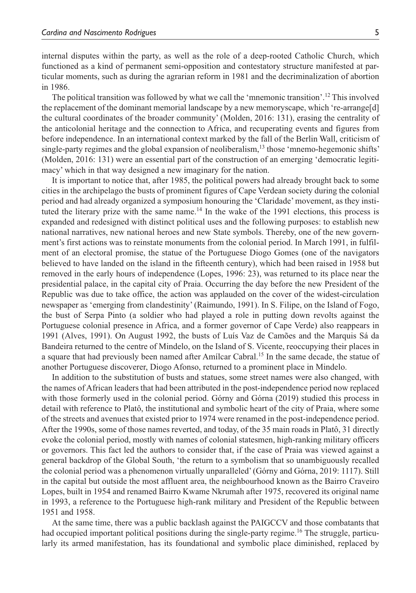internal disputes within the party, as well as the role of a deep-rooted Catholic Church, which functioned as a kind of permanent semi-opposition and contestatory structure manifested at particular moments, such as during the agrarian reform in 1981 and the decriminalization of abortion in 1986.

The political transition was followed by what we call the 'mnemonic transition'.12 This involved the replacement of the dominant memorial landscape by a new memoryscape, which 're-arrange[d] the cultural coordinates of the broader community' (Molden, 2016: 131), erasing the centrality of the anticolonial heritage and the connection to Africa, and recuperating events and figures from before independence. In an international context marked by the fall of the Berlin Wall, criticism of single-party regimes and the global expansion of neoliberalism,<sup>13</sup> those 'mnemo-hegemonic shifts' (Molden, 2016: 131) were an essential part of the construction of an emerging 'democratic legitimacy' which in that way designed a new imaginary for the nation.

It is important to notice that, after 1985, the political powers had already brought back to some cities in the archipelago the busts of prominent figures of Cape Verdean society during the colonial period and had already organized a symposium honouring the 'Claridade' movement, as they instituted the literary prize with the same name.<sup>14</sup> In the wake of the 1991 elections, this process is expanded and redesigned with distinct political uses and the following purposes: to establish new national narratives, new national heroes and new State symbols. Thereby, one of the new government's first actions was to reinstate monuments from the colonial period. In March 1991, in fulfilment of an electoral promise, the statue of the Portuguese Diogo Gomes (one of the navigators believed to have landed on the island in the fifteenth century), which had been raised in 1958 but removed in the early hours of independence (Lopes, 1996: 23), was returned to its place near the presidential palace, in the capital city of Praia. Occurring the day before the new President of the Republic was due to take office, the action was applauded on the cover of the widest-circulation newspaper as 'emerging from clandestinity' (Raimundo, 1991). In S. Filipe, on the Island of Fogo, the bust of Serpa Pinto (a soldier who had played a role in putting down revolts against the Portuguese colonial presence in Africa, and a former governor of Cape Verde) also reappears in 1991 (Alves, 1991). On August 1992, the busts of Luís Vaz de Camões and the Marquis Sá da Bandeira returned to the centre of Mindelo, on the Island of S. Vicente, reoccupying their places in a square that had previously been named after Amílcar Cabral.<sup>15</sup> In the same decade, the statue of another Portuguese discoverer, Diogo Afonso, returned to a prominent place in Mindelo.

In addition to the substitution of busts and statues, some street names were also changed, with the names of African leaders that had been attributed in the post-independence period now replaced with those formerly used in the colonial period. Górny and Górna (2019) studied this process in detail with reference to Platô, the institutional and symbolic heart of the city of Praia, where some of the streets and avenues that existed prior to 1974 were renamed in the post-independence period. After the 1990s, some of those names reverted, and today, of the 35 main roads in Platô, 31 directly evoke the colonial period, mostly with names of colonial statesmen, high-ranking military officers or governors. This fact led the authors to consider that, if the case of Praia was viewed against a general backdrop of the Global South, 'the return to a symbolism that so unambiguously recalled the colonial period was a phenomenon virtually unparalleled' (Górny and Górna, 2019: 1117). Still in the capital but outside the most affluent area, the neighbourhood known as the Bairro Craveiro Lopes, built in 1954 and renamed Bairro Kwame Nkrumah after 1975, recovered its original name in 1993, a reference to the Portuguese high-rank military and President of the Republic between 1951 and 1958.

At the same time, there was a public backlash against the PAIGCCV and those combatants that had occupied important political positions during the single-party regime.<sup>16</sup> The struggle, particularly its armed manifestation, has its foundational and symbolic place diminished, replaced by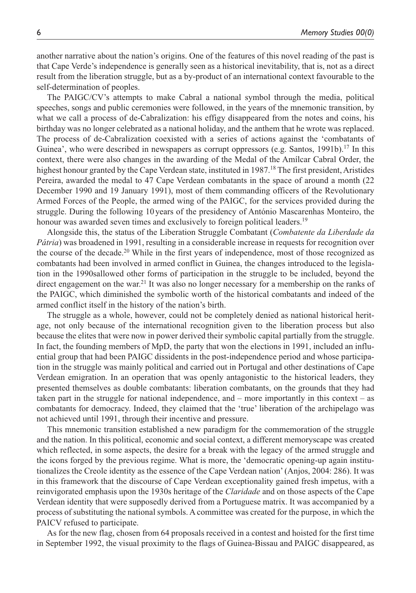another narrative about the nation's origins. One of the features of this novel reading of the past is that Cape Verde's independence is generally seen as a historical inevitability, that is, not as a direct result from the liberation struggle, but as a by-product of an international context favourable to the self-determination of peoples.

The PAIGC/CV's attempts to make Cabral a national symbol through the media, political speeches, songs and public ceremonies were followed, in the years of the mnemonic transition, by what we call a process of de-Cabralization: his effigy disappeared from the notes and coins, his birthday was no longer celebrated as a national holiday, and the anthem that he wrote was replaced. The process of de-Cabralization coexisted with a series of actions against the 'combatants of Guinea', who were described in newspapers as corrupt oppressors (e.g. Santos, 1991b).<sup>17</sup> In this context, there were also changes in the awarding of the Medal of the Amílcar Cabral Order, the highest honour granted by the Cape Verdean state, instituted in 1987.<sup>18</sup> The first president, Aristides Pereira, awarded the medal to 47 Cape Verdean combatants in the space of around a month (22 December 1990 and 19 January 1991), most of them commanding officers of the Revolutionary Armed Forces of the People, the armed wing of the PAIGC, for the services provided during the struggle. During the following 10years of the presidency of António Mascarenhas Monteiro, the honour was awarded seven times and exclusively to foreign political leaders.<sup>19</sup>

Alongside this, the status of the Liberation Struggle Combatant (*Combatente da Liberdade da Pátria*) was broadened in 1991, resulting in a considerable increase in requests for recognition over the course of the decade.20 While in the first years of independence, most of those recognized as combatants had been involved in armed conflict in Guinea, the changes introduced to the legislation in the 1990sallowed other forms of participation in the struggle to be included, beyond the direct engagement on the war.<sup>21</sup> It was also no longer necessary for a membership on the ranks of the PAIGC, which diminished the symbolic worth of the historical combatants and indeed of the armed conflict itself in the history of the nation's birth.

The struggle as a whole, however, could not be completely denied as national historical heritage, not only because of the international recognition given to the liberation process but also because the elites that were now in power derived their symbolic capital partially from the struggle. In fact, the founding members of MpD, the party that won the elections in 1991, included an influential group that had been PAIGC dissidents in the post-independence period and whose participation in the struggle was mainly political and carried out in Portugal and other destinations of Cape Verdean emigration. In an operation that was openly antagonistic to the historical leaders, they presented themselves as double combatants: liberation combatants, on the grounds that they had taken part in the struggle for national independence, and – more importantly in this context – as combatants for democracy. Indeed, they claimed that the 'true' liberation of the archipelago was not achieved until 1991, through their incentive and pressure.

This mnemonic transition established a new paradigm for the commemoration of the struggle and the nation. In this political, economic and social context, a different memoryscape was created which reflected, in some aspects, the desire for a break with the legacy of the armed struggle and the icons forged by the previous regime. What is more, the 'democratic opening-up again institutionalizes the Creole identity as the essence of the Cape Verdean nation' (Anjos, 2004: 286). It was in this framework that the discourse of Cape Verdean exceptionality gained fresh impetus, with a reinvigorated emphasis upon the 1930s heritage of the *Claridade* and on those aspects of the Cape Verdean identity that were supposedly derived from a Portuguese matrix. It was accompanied by a process of substituting the national symbols. A committee was created for the purpose, in which the PAICV refused to participate.

As for the new flag, chosen from 64 proposals received in a contest and hoisted for the first time in September 1992, the visual proximity to the flags of Guinea-Bissau and PAIGC disappeared, as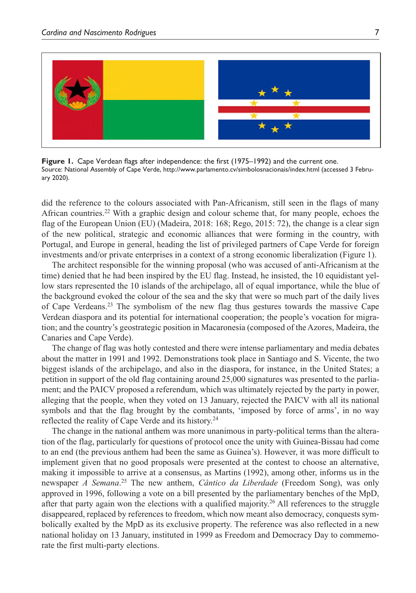

**Figure 1.** Cape Verdean flags after independence: the first (1975–1992) and the current one. Source: National Assembly of Cape Verde,<http://www.parlamento.cv/simbolosnacionais/index.html> (accessed 3 February 2020).

did the reference to the colours associated with Pan-Africanism, still seen in the flags of many African countries.22 With a graphic design and colour scheme that, for many people, echoes the flag of the European Union (EU) (Madeira, 2018: 168; Rego, 2015: 72), the change is a clear sign of the new political, strategic and economic alliances that were forming in the country, with Portugal, and Europe in general, heading the list of privileged partners of Cape Verde for foreign investments and/or private enterprises in a context of a strong economic liberalization (Figure 1).

The architect responsible for the winning proposal (who was accused of anti-Africanism at the time) denied that he had been inspired by the EU flag. Instead, he insisted, the 10 equidistant yellow stars represented the 10 islands of the archipelago, all of equal importance, while the blue of the background evoked the colour of the sea and the sky that were so much part of the daily lives of Cape Verdeans.23 The symbolism of the new flag thus gestures towards the massive Cape Verdean diaspora and its potential for international cooperation; the people's vocation for migration; and the country's geostrategic position in Macaronesia (composed of the Azores, Madeira, the Canaries and Cape Verde).

The change of flag was hotly contested and there were intense parliamentary and media debates about the matter in 1991 and 1992. Demonstrations took place in Santiago and S. Vicente, the two biggest islands of the archipelago, and also in the diaspora, for instance, in the United States; a petition in support of the old flag containing around 25,000 signatures was presented to the parliament; and the PAICV proposed a referendum, which was ultimately rejected by the party in power, alleging that the people, when they voted on 13 January, rejected the PAICV with all its national symbols and that the flag brought by the combatants, 'imposed by force of arms', in no way reflected the reality of Cape Verde and its history.24

The change in the national anthem was more unanimous in party-political terms than the alteration of the flag, particularly for questions of protocol once the unity with Guinea-Bissau had come to an end (the previous anthem had been the same as Guinea's). However, it was more difficult to implement given that no good proposals were presented at the contest to choose an alternative, making it impossible to arrive at a consensus, as Martins (1992), among other, informs us in the newspaper *A Semana*. 25 The new anthem, *Cântico da Liberdade* (Freedom Song), was only approved in 1996, following a vote on a bill presented by the parliamentary benches of the MpD, after that party again won the elections with a qualified majority.<sup>26</sup> All references to the struggle disappeared, replaced by references to freedom, which now meant also democracy, conquests symbolically exalted by the MpD as its exclusive property. The reference was also reflected in a new national holiday on 13 January, instituted in 1999 as Freedom and Democracy Day to commemorate the first multi-party elections.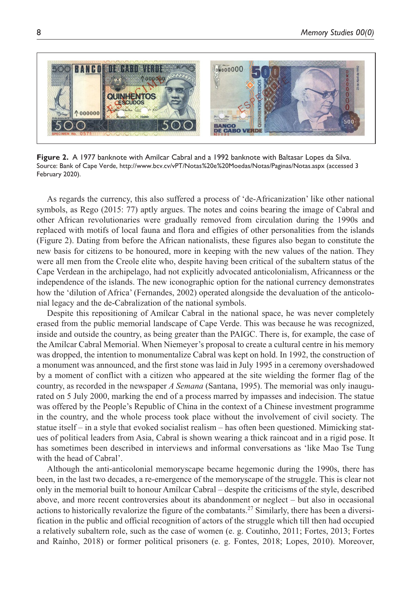

**Figure 2.** A 1977 banknote with Amílcar Cabral and a 1992 banknote with Baltasar Lopes da Silva. Source: Bank of Cape Verde,<http://www.bcv.cv/vPT/Notas%20e%20Moedas/Notas/Paginas/Notas.aspx> (accessed 3 February 2020).

As regards the currency, this also suffered a process of 'de-Africanization' like other national symbols, as Rego (2015: 77) aptly argues. The notes and coins bearing the image of Cabral and other African revolutionaries were gradually removed from circulation during the 1990s and replaced with motifs of local fauna and flora and effigies of other personalities from the islands (Figure 2). Dating from before the African nationalists, these figures also began to constitute the new basis for citizens to be honoured, more in keeping with the new values of the nation. They were all men from the Creole elite who, despite having been critical of the subaltern status of the Cape Verdean in the archipelago, had not explicitly advocated anticolonialism, Africanness or the independence of the islands. The new iconographic option for the national currency demonstrates how the 'dilution of Africa' (Fernandes, 2002) operated alongside the devaluation of the anticolonial legacy and the de-Cabralization of the national symbols.

Despite this repositioning of Amílcar Cabral in the national space, he was never completely erased from the public memorial landscape of Cape Verde. This was because he was recognized, inside and outside the country, as being greater than the PAIGC. There is, for example, the case of the Amílcar Cabral Memorial. When Niemeyer's proposal to create a cultural centre in his memory was dropped, the intention to monumentalize Cabral was kept on hold. In 1992, the construction of a monument was announced, and the first stone was laid in July 1995 in a ceremony overshadowed by a moment of conflict with a citizen who appeared at the site wielding the former flag of the country, as recorded in the newspaper *A Semana* (Santana, 1995). The memorial was only inaugurated on 5 July 2000, marking the end of a process marred by impasses and indecision. The statue was offered by the People's Republic of China in the context of a Chinese investment programme in the country, and the whole process took place without the involvement of civil society. The statue itself – in a style that evoked socialist realism – has often been questioned. Mimicking statues of political leaders from Asia, Cabral is shown wearing a thick raincoat and in a rigid pose. It has sometimes been described in interviews and informal conversations as 'like Mao Tse Tung with the head of Cabral'.

Although the anti-anticolonial memoryscape became hegemonic during the 1990s, there has been, in the last two decades, a re-emergence of the memoryscape of the struggle. This is clear not only in the memorial built to honour Amílcar Cabral – despite the criticisms of the style, described above, and more recent controversies about its abandonment or neglect – but also in occasional actions to historically revalorize the figure of the combatants.<sup>27</sup> Similarly, there has been a diversification in the public and official recognition of actors of the struggle which till then had occupied a relatively subaltern role, such as the case of women (e. g. Coutinho, 2011; Fortes, 2013; Fortes and Raínho, 2018) or former political prisoners (e. g. Fontes, 2018; Lopes, 2010). Moreover,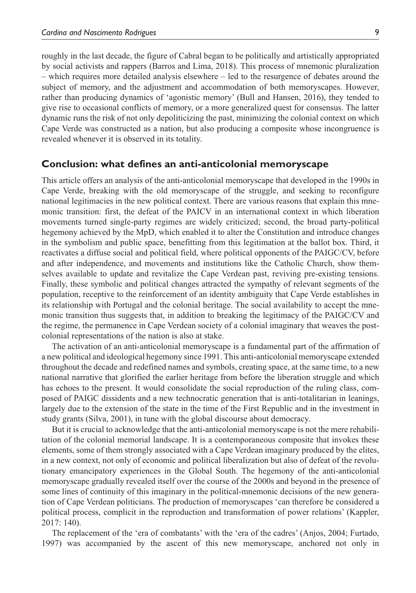roughly in the last decade, the figure of Cabral began to be politically and artistically appropriated by social activists and rappers (Barros and Lima, 2018). This process of mnemonic pluralization – which requires more detailed analysis elsewhere – led to the resurgence of debates around the subject of memory, and the adjustment and accommodation of both memoryscapes. However, rather than producing dynamics of 'agonistic memory' (Bull and Hansen, 2016), they tended to give rise to occasional conflicts of memory, or a more generalized quest for consensus. The latter dynamic runs the risk of not only depoliticizing the past, minimizing the colonial context on which Cape Verde was constructed as a nation, but also producing a composite whose incongruence is revealed whenever it is observed in its totality.

#### **Conclusion: what defines an anti-anticolonial memoryscape**

This article offers an analysis of the anti-anticolonial memoryscape that developed in the 1990s in Cape Verde, breaking with the old memoryscape of the struggle, and seeking to reconfigure national legitimacies in the new political context. There are various reasons that explain this mnemonic transition: first, the defeat of the PAICV in an international context in which liberation movements turned single-party regimes are widely criticized; second, the broad party-political hegemony achieved by the MpD, which enabled it to alter the Constitution and introduce changes in the symbolism and public space, benefitting from this legitimation at the ballot box. Third, it reactivates a diffuse social and political field, where political opponents of the PAIGC/CV, before and after independence, and movements and institutions like the Catholic Church, show themselves available to update and revitalize the Cape Verdean past, reviving pre-existing tensions. Finally, these symbolic and political changes attracted the sympathy of relevant segments of the population, receptive to the reinforcement of an identity ambiguity that Cape Verde establishes in its relationship with Portugal and the colonial heritage. The social availability to accept the mnemonic transition thus suggests that, in addition to breaking the legitimacy of the PAIGC/CV and the regime, the permanence in Cape Verdean society of a colonial imaginary that weaves the postcolonial representations of the nation is also at stake.

The activation of an anti-anticolonial memoryscape is a fundamental part of the affirmation of a new political and ideological hegemony since 1991. This anti-anticolonial memoryscape extended throughout the decade and redefined names and symbols, creating space, at the same time, to a new national narrative that glorified the earlier heritage from before the liberation struggle and which has echoes to the present. It would consolidate the social reproduction of the ruling class, composed of PAIGC dissidents and a new technocratic generation that is anti-totalitarian in leanings, largely due to the extension of the state in the time of the First Republic and in the investment in study grants (Silva, 2001), in tune with the global discourse about democracy.

But it is crucial to acknowledge that the anti-anticolonial memoryscape is not the mere rehabilitation of the colonial memorial landscape. It is a contemporaneous composite that invokes these elements, some of them strongly associated with a Cape Verdean imaginary produced by the elites, in a new context, not only of economic and political liberalization but also of defeat of the revolutionary emancipatory experiences in the Global South. The hegemony of the anti-anticolonial memoryscape gradually revealed itself over the course of the 2000s and beyond in the presence of some lines of continuity of this imaginary in the political-mnemonic decisions of the new generation of Cape Verdean politicians. The production of memoryscapes 'can therefore be considered a political process, complicit in the reproduction and transformation of power relations' (Kappler, 2017: 140).

The replacement of the 'era of combatants' with the 'era of the cadres' (Anjos, 2004; Furtado, 1997) was accompanied by the ascent of this new memoryscape, anchored not only in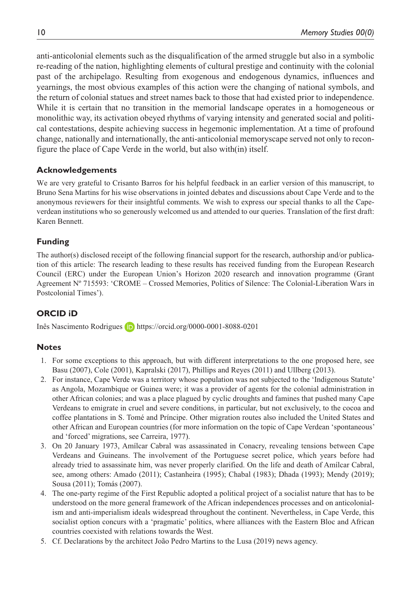anti-anticolonial elements such as the disqualification of the armed struggle but also in a symbolic re-reading of the nation, highlighting elements of cultural prestige and continuity with the colonial past of the archipelago. Resulting from exogenous and endogenous dynamics, influences and yearnings, the most obvious examples of this action were the changing of national symbols, and the return of colonial statues and street names back to those that had existed prior to independence. While it is certain that no transition in the memorial landscape operates in a homogeneous or monolithic way, its activation obeyed rhythms of varying intensity and generated social and political contestations, despite achieving success in hegemonic implementation. At a time of profound change, nationally and internationally, the anti-anticolonial memoryscape served not only to reconfigure the place of Cape Verde in the world, but also with(in) itself.

## **Acknowledgements**

We are very grateful to Crisanto Barros for his helpful feedback in an earlier version of this manuscript, to Bruno Sena Martins for his wise observations in jointed debates and discussions about Cape Verde and to the anonymous reviewers for their insightful comments. We wish to express our special thanks to all the Capeverdean institutions who so generously welcomed us and attended to our queries. Translation of the first draft: Karen Bennett.

## **Funding**

The author(s) disclosed receipt of the following financial support for the research, authorship and/or publication of this article: The research leading to these results has received funding from the European Research Council (ERC) under the European Union's Horizon 2020 research and innovation programme (Grant Agreement Nº 715593: 'CROME – Crossed Memories, Politics of Silence: The Colonial-Liberation Wars in Postcolonial Times').

## **ORCID iD**

Inês Nascimento Rodrigues **iD** <https://orcid.org/0000-0001-8088-0201>

## **Notes**

- 1. For some exceptions to this approach, but with different interpretations to the one proposed here, see Basu (2007), Cole (2001), Kapralski (2017), Phillips and Reyes (2011) and Ullberg (2013).
- 2. For instance, Cape Verde was a territory whose population was not subjected to the 'Indigenous Statute' as Angola, Mozambique or Guinea were; it was a provider of agents for the colonial administration in other African colonies; and was a place plagued by cyclic droughts and famines that pushed many Cape Verdeans to emigrate in cruel and severe conditions, in particular, but not exclusively, to the cocoa and coffee plantations in S. Tomé and Príncipe. Other migration routes also included the United States and other African and European countries (for more information on the topic of Cape Verdean 'spontaneous' and 'forced' migrations, see Carreira, 1977).
- 3. On 20 January 1973, Amílcar Cabral was assassinated in Conacry, revealing tensions between Cape Verdeans and Guineans. The involvement of the Portuguese secret police, which years before had already tried to assassinate him, was never properly clarified. On the life and death of Amílcar Cabral, see, among others: Amado (2011); Castanheira (1995); Chabal (1983); Dhada (1993); Mendy (2019); Sousa (2011); Tomás (2007).
- 4. The one-party regime of the First Republic adopted a political project of a socialist nature that has to be understood on the more general framework of the African independences processes and on anticolonialism and anti-imperialism ideals widespread throughout the continent. Nevertheless, in Cape Verde, this socialist option concurs with a 'pragmatic' politics, where alliances with the Eastern Bloc and African countries coexisted with relations towards the West.
- 5. Cf. Declarations by the architect João Pedro Martins to the Lusa (2019) news agency.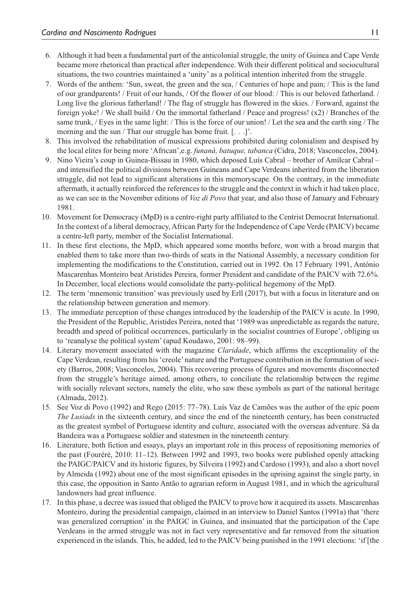- 6. Although it had been a fundamental part of the anticolonial struggle, the unity of Guinea and Cape Verde became more rhetorical than practical after independence. With their different political and sociocultural situations, the two countries maintained a 'unity' as a political intention inherited from the struggle.
- 7. Words of the anthem: 'Sun, sweat, the green and the sea, / Centuries of hope and pain; / This is the land of our grandparents! / Fruit of our hands, / Of the flower of our blood: / This is our beloved fatherland. / Long live the glorious fatherland! / The flag of struggle has flowered in the skies. / Forward, against the foreign yoke! / We shall build / On the immortal fatherland / Peace and progress! (x2) / Branches of the same trunk, / Eyes in the same light: / This is the force of our union! / Let the sea and the earth sing / The morning and the sun / That our struggle has borne fruit. [...]'.
- 8. This involved the rehabilitation of musical expressions prohibited during colonialism and despised by the local elites for being more 'African',e.g. *funaná, batuque, tabanca* (Cidra, 2018; Vasconcelos, 2004).
- 9. Nino Vieira's coup in Guinea-Bissau in 1980, which deposed Luís Cabral brother of Amílcar Cabral and intensified the political divisions between Guineans and Cape Verdeans inherited from the liberation struggle, did not lead to significant alterations in this memoryscape. On the contrary, in the immediate aftermath, it actually reinforced the references to the struggle and the context in which it had taken place, as we can see in the November editions of *Voz di Povo* that year, and also those of January and February 1981.
- 10. Movement for Democracy (MpD) is a centre-right party affiliated to the Centrist Democrat International. In the context of a liberal democracy, African Party for the Independence of Cape Verde (PAICV) became a centre-left party, member of the Socialist International.
- 11. In these first elections, the MpD, which appeared some months before, won with a broad margin that enabled them to take more than two-thirds of seats in the National Assembly, a necessary condition for implementing the modifications to the Constitution, carried out in 1992. On 17 February 1991, António Mascarenhas Monteiro beat Aristides Pereira, former President and candidate of the PAICV with 72.6%. In December, local elections would consolidate the party-political hegemony of the MpD.
- 12. The term 'mnemonic transition' was previously used by Erll (2017), but with a focus in literature and on the relationship between generation and memory.
- 13. The immediate perception of these changes introduced by the leadership of the PAICV is acute. In 1990, the President of the Republic, Aristides Pereira, noted that '1989 was unpredictable as regards the nature, breadth and speed of political occurrences, particularly in the socialist countries of Europe', obliging us to 'reanalyse the political system' (apud Koudawo, 2001: 98–99).
- 14. Literary movement associated with the magazine *Claridade*, which affirms the exceptionality of the Cape Verdean, resulting from his 'creole' nature and the Portuguese contribution in the formation of society (Barros, 2008; Vasconcelos, 2004). This recovering process of figures and movements disconnected from the struggle's heritage aimed, among others, to conciliate the relationship between the regime with socially relevant sectors, namely the elite, who saw these symbols as part of the national heritage (Almada, 2012).
- 15. See Voz di Povo (1992) and Rego (2015: 77–78). Luís Vaz de Camões was the author of the epic poem *The Lusiads* in the sixteenth century, and since the end of the nineteenth century, has been constructed as the greatest symbol of Portuguese identity and culture, associated with the overseas adventure. Sá da Bandeira was a Portuguese soldier and statesmen in the nineteenth century.
- 16. Literature, both fiction and essays, plays an important role in this process of repositioning memories of the past (Fouréré, 2010: 11–12). Between 1992 and 1993, two books were published openly attacking the PAIGC/PAICV and its historic figures, by Silveira (1992) and Cardoso (1993), and also a short novel by Almeida (1992) about one of the most significant episodes in the uprising against the single party, in this case, the opposition in Santo Antão to agrarian reform in August 1981, and in which the agricultural landowners had great influence.
- 17. In this phase, a decree was issued that obliged the PAICV to prove how it acquired its assets. Mascarenhas Monteiro, during the presidential campaign, claimed in an interview to Daniel Santos (1991a) that 'there was generalized corruption' in the PAIGC in Guinea, and insinuated that the participation of the Cape Verdeans in the armed struggle was not in fact very representative and far removed from the situation experienced in the islands. This, he added, led to the PAICV being punished in the 1991 elections: 'if [the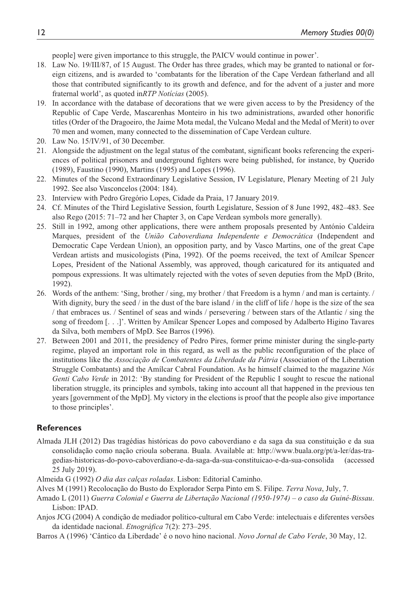people] were given importance to this struggle, the PAICV would continue in power'.

- 18. Law No. 19/III/87, of 15 August. The Order has three grades, which may be granted to national or foreign citizens, and is awarded to 'combatants for the liberation of the Cape Verdean fatherland and all those that contributed significantly to its growth and defence, and for the advent of a juster and more fraternal world', as quoted in*RTP Notícias* (2005).
- 19. In accordance with the database of decorations that we were given access to by the Presidency of the Republic of Cape Verde, Mascarenhas Monteiro in his two administrations, awarded other honorific titles (Order of the Dragoeiro, the Jaime Mota medal, the Vulcano Medal and the Medal of Merit) to over 70 men and women, many connected to the dissemination of Cape Verdean culture.
- 20. Law No. 15/IV/91, of 30 December.
- 21. Alongside the adjustment on the legal status of the combatant, significant books referencing the experiences of political prisoners and underground fighters were being published, for instance, by Querido (1989), Faustino (1990), Martins (1995) and Lopes (1996).
- 22. Minutes of the Second Extraordinary Legislative Session, IV Legislature, Plenary Meeting of 21 July 1992. See also Vasconcelos (2004: 184).
- 23. Interview with Pedro Gregório Lopes, Cidade da Praia, 17 January 2019.
- 24. Cf. Minutes of the Third Legislative Session, fourth Legislature, Session of 8 June 1992, 482–483. See also Rego (2015: 71–72 and her Chapter 3, on Cape Verdean symbols more generally).
- 25. Still in 1992, among other applications, there were anthem proposals presented by António Caldeira Marques, president of the *União Caboverdiana Independente e Democrática* (Independent and Democratic Cape Verdean Union), an opposition party, and by Vasco Martins, one of the great Cape Verdean artists and musicologists (Pina, 1992). Of the poems received, the text of Amílcar Spencer Lopes, President of the National Assembly, was approved, though caricatured for its antiquated and pompous expressions. It was ultimately rejected with the votes of seven deputies from the MpD (Brito, 1992).
- 26. Words of the anthem: 'Sing, brother / sing, my brother / that Freedom is a hymn / and man is certainty. / With dignity, bury the seed / in the dust of the bare island / in the cliff of life / hope is the size of the sea / that embraces us. / Sentinel of seas and winds / persevering / between stars of the Atlantic / sing the song of freedom [. . .]'. Written by Amílcar Spencer Lopes and composed by Adalberto Higino Tavares da Silva, both members of MpD. See Barros (1996).
- 27. Between 2001 and 2011, the presidency of Pedro Pires, former prime minister during the single-party regime, played an important role in this regard, as well as the public reconfiguration of the place of institutions like the *Associação de Combatentes da Liberdade da Pátria* (Association of the Liberation Struggle Combatants) and the Amílcar Cabral Foundation. As he himself claimed to the magazine *Nós Genti Cabo Verde* in 2012: 'By standing for President of the Republic I sought to rescue the national liberation struggle, its principles and symbols, taking into account all that happened in the previous ten years [government of the MpD]. My victory in the elections is proof that the people also give importance to those principles'.

#### **References**

- Almada JLH (2012) Das tragédias históricas do povo caboverdiano e da saga da sua constituição e da sua consolidação como nação crioula soberana. Buala. Available at: [http://www.buala.org/pt/a-ler/das-tra](http://www.buala.org/pt/a-ler/das-tragedias-historicas-do-povo-caboverdiano-e-da-saga-da-sua-constituicao-e-da-sua-consolida)[gedias-historicas-do-povo-caboverdiano-e-da-saga-da-sua-constituicao-e-da-sua-consolida](http://www.buala.org/pt/a-ler/das-tragedias-historicas-do-povo-caboverdiano-e-da-saga-da-sua-constituicao-e-da-sua-consolida) (accessed 25 July 2019).
- Almeida G (1992) *O dia das calças roladas*. Lisbon: Editorial Caminho.
- Alves M (1991) Recolocação do Busto do Explorador Serpa Pinto em S. Filipe. *Terra Nova*, July, 7.
- Amado L (2011) *Guerra Colonial e Guerra de Libertação Nacional (1950-1974) o caso da Guiné-Bissau*. Lisbon: IPAD.
- Anjos JCG (2004) A condição de mediador político-cultural em Cabo Verde: intelectuais e diferentes versões da identidade nacional. *Etnográfica* 7(2): 273–295.
- Barros A (1996) 'Cântico da Liberdade' é o novo hino nacional. *Novo Jornal de Cabo Verde*, 30 May, 12.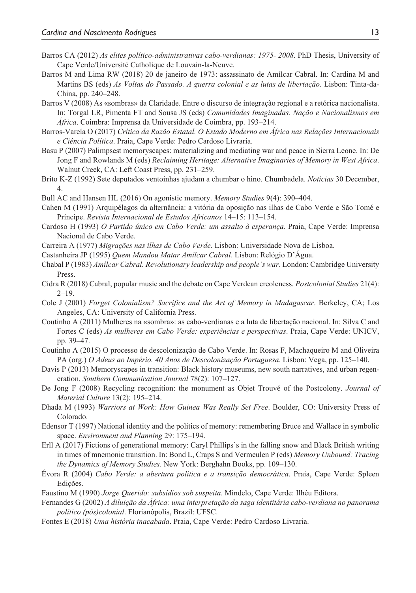- Barros CA (2012) *As elites político-administrativas cabo-verdianas: 1975- 2008*. PhD Thesis, University of Cape Verde/Université Catholique de Louvain-la-Neuve.
- Barros M and Lima RW (2018) 20 de janeiro de 1973: assassinato de Amílcar Cabral. In: Cardina M and Martins BS (eds) *As Voltas do Passado. A guerra colonial e as lutas de libertação*. Lisbon: Tinta-da-China, pp. 240–248.
- Barros V (2008) As «sombras» da Claridade. Entre o discurso de integração regional e a retórica nacionalista. In: Torgal LR, Pimenta FT and Sousa JS (eds) *Comunidades Imaginadas. Nação e Nacionalismos em África*. Coimbra: Imprensa da Universidade de Coimbra, pp. 193–214.
- Barros-Varela O (2017) *Crítica da Razão Estatal. O Estado Moderno em África nas Relações Internacionais e Ciência Política*. Praia, Cape Verde: Pedro Cardoso Livraria.
- Basu P (2007) Palimpsest memoryscapes: materializing and mediating war and peace in Sierra Leone. In: De Jong F and Rowlands M (eds) *Reclaiming Heritage: Alternative Imaginaries of Memory in West Africa*. Walnut Creek, CA: Left Coast Press, pp. 231–259.
- Brito K-Z (1992) Sete deputados ventoinhas ajudam a chumbar o hino. Chumbadela. *Notícias* 30 December, 4.
- Bull AC and Hansen HL (2016) On agonistic memory. *Memory Studies* 9(4): 390–404.
- Cahen M (1991) Arquipélagos da alternância: a vitória da oposição nas ilhas de Cabo Verde e São Tomé e Príncipe. *Revista Internacional de Estudos Africanos* 14–15: 113–154.
- Cardoso H (1993) *O Partido único em Cabo Verde: um assalto à esperança*. Praia, Cape Verde: Imprensa Nacional de Cabo Verde.
- Carreira A (1977) *Migrações nas ilhas de Cabo Verde*. Lisbon: Universidade Nova de Lisboa.
- Castanheira JP (1995) *Quem Mandou Matar Amílcar Cabral*. Lisbon: Relógio D'Água.
- Chabal P (1983) *Amílcar Cabral. Revolutionary leadership and people's war*. London: Cambridge University Press.
- Cidra R (2018) Cabral, popular music and the debate on Cape Verdean creoleness. *Postcolonial Studies* 21(4):  $2 - 19$
- Cole J (2001) *Forget Colonialism? Sacrifice and the Art of Memory in Madagascar*. Berkeley, CA; Los Angeles, CA: University of California Press.
- Coutinho A (2011) Mulheres na «sombra»: as cabo-verdianas e a luta de libertação nacional. In: Silva C and Fortes C (eds) *As mulheres em Cabo Verde: experiências e perspectivas*. Praia, Cape Verde: UNICV, pp. 39–47.
- Coutinho A (2015) O processo de descolonização de Cabo Verde. In: Rosas F, Machaqueiro M and Oliveira PA (org.) *O Adeus ao Império. 40 Anos de Descolonização Portuguesa*. Lisbon: Vega, pp. 125–140.
- Davis P (2013) Memoryscapes in transition: Black history museums, new south narratives, and urban regeneration. *Southern Communication Journal* 78(2): 107–127.
- De Jong F (2008) Recycling recognition: the monument as Objet Trouvé of the Postcolony. *Journal of Material Culture* 13(2): 195–214.
- Dhada M (1993) *Warriors at Work: How Guinea Was Really Set Free*. Boulder, CO: University Press of Colorado.
- Edensor T (1997) National identity and the politics of memory: remembering Bruce and Wallace in symbolic space. *Environment and Planning* 29: 175–194.
- Erll A (2017) Fictions of generational memory: Caryl Phillips's in the falling snow and Black British writing in times of mnemonic transition. In: Bond L, Craps S and Vermeulen P (eds) *Memory Unbound: Tracing the Dynamics of Memory Studies*. New York: Berghahn Books, pp. 109–130.
- Évora R (2004) *Cabo Verde: a abertura política e a transição democrática*. Praia, Cape Verde: Spleen Edições.
- Faustino M (1990) *Jorge Querido: subsídios sob suspeita*. Mindelo, Cape Verde: Ilhéu Editora.
- Fernandes G (2002) *A diluição da África: uma interpretação da saga identitária cabo-verdiana no panorama político (pós)colonial*. Florianópolis, Brazil: UFSC.
- Fontes E (2018) *Uma história inacabada*. Praia, Cape Verde: Pedro Cardoso Livraria.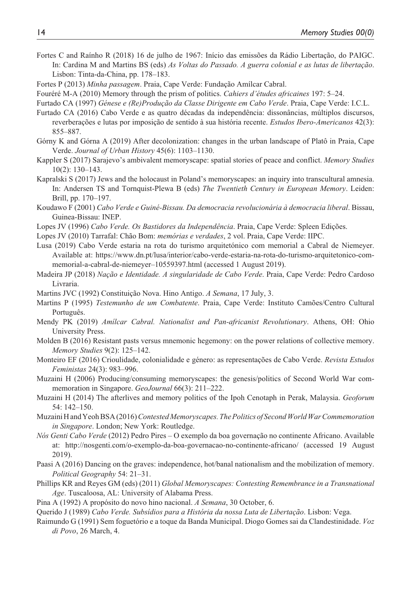- Fortes C and Raínho R (2018) 16 de julho de 1967: Início das emissões da Rádio Libertação, do PAIGC. In: Cardina M and Martins BS (eds) *As Voltas do Passado. A guerra colonial e as lutas de libertação*. Lisbon: Tinta-da-China, pp. 178–183.
- Fortes P (2013) *Minha passagem*. Praia, Cape Verde: Fundação Amílcar Cabral.
- Fouréré M-A (2010) Memory through the prism of politics. *Cahiers d'études africaines* 197: 5–24.
- Furtado CA (1997) *Génese e (Re)Produção da Classe Dirigente em Cabo Verde*. Praia, Cape Verde: I.C.L.
- Furtado CA (2016) Cabo Verde e as quatro décadas da independência: dissonâncias, múltiplos discursos, reverberações e lutas por imposição de sentido à sua história recente. *Estudos Ibero-Americanos* 42(3): 855–887.
- Górny K and Górna A (2019) After decolonization: changes in the urban landscape of Platô in Praia, Cape Verde. *Journal of Urban History* 45(6): 1103–1130.
- Kappler S (2017) Sarajevo's ambivalent memoryscape: spatial stories of peace and conflict. *Memory Studies* 10(2): 130–143.
- Kapralski S (2017) Jews and the holocaust in Poland's memoryscapes: an inquiry into transcultural amnesia. In: Andersen TS and Tornquist-Plewa B (eds) *The Twentieth Century in European Memory*. Leiden: Brill, pp. 170–197.
- Koudawo F (2001) *Cabo Verde e Guiné-Bissau. Da democracia revolucionária à democracia liberal*. Bissau, Guinea-Bissau: INEP.
- Lopes JV (1996) *Cabo Verde. Os Bastidores da Independência*. Praia, Cape Verde: Spleen Edições.
- Lopes JV (2010) Tarrafal: Chão Bom: *memórias e verdades*, 2 vol. Praia, Cape Verde: IIPC.
- Lusa (2019) Cabo Verde estaria na rota do turismo arquitetónico com memorial a Cabral de Niemeyer. Available at: [https://www.dn.pt/lusa/interior/cabo-verde-estaria-na-rota-do-turismo-arquitetonico-com](https://www.dn.pt/lusa/interior/cabo-verde-estaria-na-rota-do-turismo-arquitetonico-com-memorial-a-cabral-de-niemeyer�10559397.html)[memorial-a-cabral-de-niemeyer–10559397.html](https://www.dn.pt/lusa/interior/cabo-verde-estaria-na-rota-do-turismo-arquitetonico-com-memorial-a-cabral-de-niemeyer�10559397.html) (accessed 1 August 2019).
- Madeira JP (2018) *Nação e Identidade. A singularidade de Cabo Verde*. Praia, Cape Verde: Pedro Cardoso Livraria.
- Martins JVC (1992) Constituição Nova. Hino Antigo. *A Semana*, 17 July, 3.
- Martins P (1995) *Testemunho de um Combatente*. Praia, Cape Verde: Instituto Camões/Centro Cultural Português.
- Mendy PK (2019) *Amílcar Cabral. Nationalist and Pan-africanist Revolutionary*. Athens, OH: Ohio University Press.
- Molden B (2016) Resistant pasts versus mnemonic hegemony: on the power relations of collective memory. *Memory Studies* 9(2): 125–142.
- Monteiro EF (2016) Crioulidade, colonialidade e género: as representações de Cabo Verde. *Revista Estudos Feministas* 24(3): 983–996.
- Muzaini H (2006) Producing/consuming memoryscapes: the genesis/politics of Second World War commemoration in Singapore. *GeoJournal* 66(3): 211–222.
- Muzaini H (2014) The afterlives and memory politics of the Ipoh Cenotaph in Perak, Malaysia. *Geoforum* 54: 142–150.
- Muzaini H and Yeoh BSA (2016) *Contested Memoryscapes. The Politics of Second World War Commemoration in Singapore*. London; New York: Routledge.
- *Nós Genti Cabo Verde* (2012) Pedro Pires O exemplo da boa governação no continente Africano. Available at: <http://nosgenti.com/o-exemplo-da-boa-governacao-no-continente-africano/>(accessed 19 August 2019).
- Paasi A (2016) Dancing on the graves: independence, hot/banal nationalism and the mobilization of memory. *Political Geography* 54: 21–31.
- Phillips KR and Reyes GM (eds) (2011) *Global Memoryscapes: Contesting Remembrance in a Transnational Age*. Tuscaloosa, AL: University of Alabama Press.
- Pina A (1992) A propósito do novo hino nacional. *A Semana*, 30 October, 6.
- Querido J (1989) *Cabo Verde. Subsídios para a História da nossa Luta de Libertação*. Lisbon: Vega.
- Raimundo G (1991) Sem foguetório e a toque da Banda Municipal. Diogo Gomes sai da Clandestinidade. *Voz di Povo*, 26 March, 4.